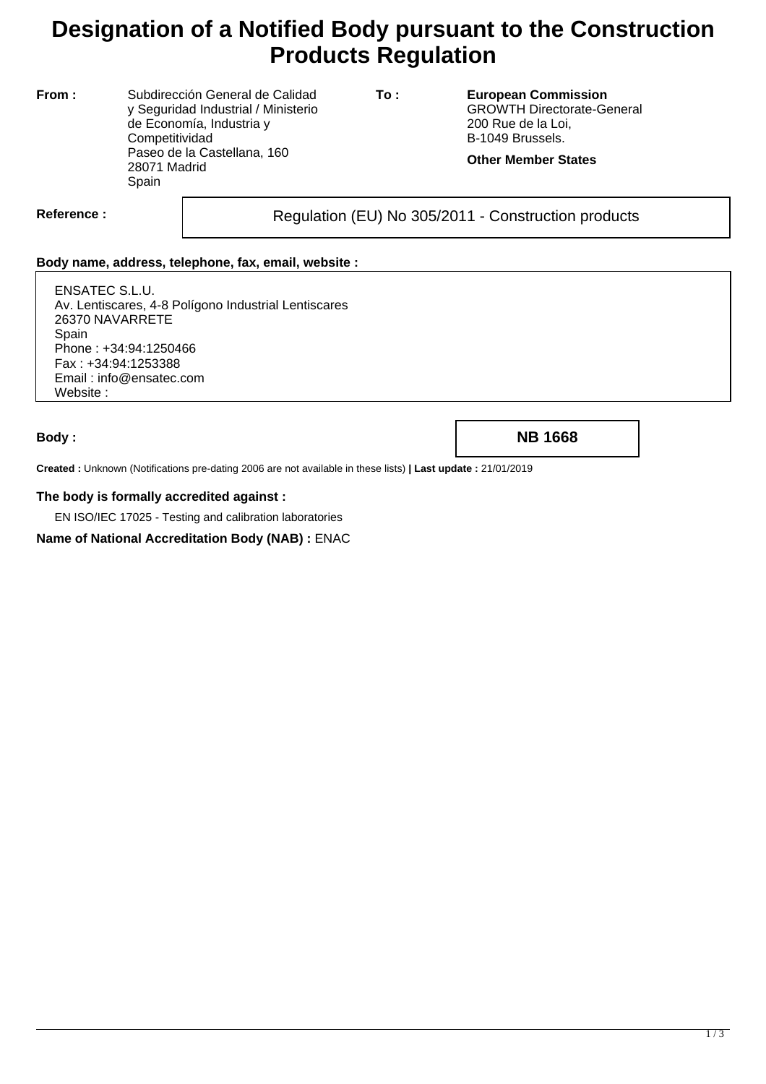# **Designation of a Notified Body pursuant to the Construction Products Regulation**

**From :** Subdirección General de Calidad y Seguridad Industrial / Ministerio de Economía, Industria y **Competitividad** Paseo de la Castellana, 160 28071 Madrid Spain

**To : European Commission** GROWTH Directorate-General 200 Rue de la Loi, B-1049 Brussels.

#### **Other Member States**

Reference : and **Regulation (EU) No 305/2011** - Construction products

### **Body name, address, telephone, fax, email, website :**

ENSATEC S.L.U. Av. Lentiscares, 4-8 Polígono Industrial Lentiscares 26370 NAVARRETE Spain Phone : +34:94:1250466 Fax : +34:94:1253388 Email : info@ensatec.com Website :

**Body : NB 1668**

**Created :** Unknown (Notifications pre-dating 2006 are not available in these lists) **| Last update :** 21/01/2019

#### **The body is formally accredited against :**

EN ISO/IEC 17025 - Testing and calibration laboratories

**Name of National Accreditation Body (NAB) :** ENAC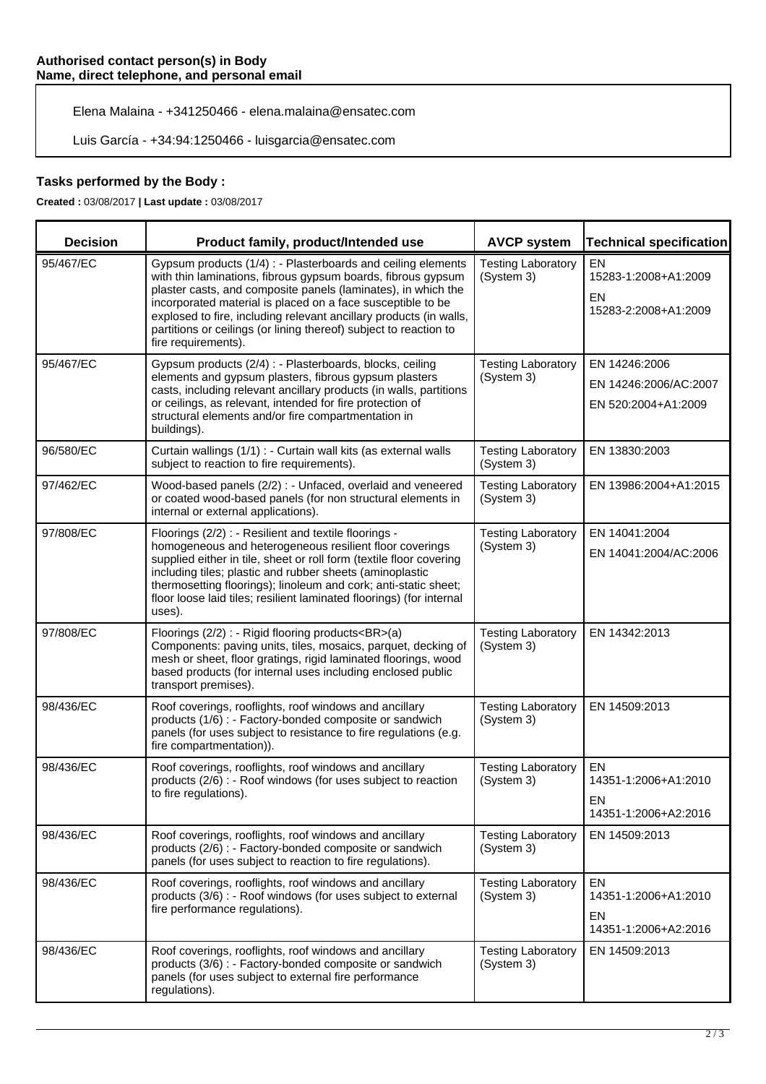Elena Malaina - +341250466 - elena.malaina@ensatec.com

Luis García - +34:94:1250466 - luisgarcia@ensatec.com

### **Tasks performed by the Body :**

**Created :** 03/08/2017 **| Last update :** 03/08/2017

| <b>Decision</b> | Product family, product/Intended use                                                                                                                                                                                                                                                                                                                                                                                           | <b>AVCP system</b>                      | <b>Technical specification</b>                                  |
|-----------------|--------------------------------------------------------------------------------------------------------------------------------------------------------------------------------------------------------------------------------------------------------------------------------------------------------------------------------------------------------------------------------------------------------------------------------|-----------------------------------------|-----------------------------------------------------------------|
| 95/467/EC       | Gypsum products (1/4) : - Plasterboards and ceiling elements<br>with thin laminations, fibrous gypsum boards, fibrous gypsum<br>plaster casts, and composite panels (laminates), in which the<br>incorporated material is placed on a face susceptible to be<br>explosed to fire, including relevant ancillary products (in walls,<br>partitions or ceilings (or lining thereof) subject to reaction to<br>fire requirements). | <b>Testing Laboratory</b><br>(System 3) | EN<br>15283-1:2008+A1:2009<br>EN<br>15283-2:2008+A1:2009        |
| 95/467/EC       | Gypsum products (2/4) : - Plasterboards, blocks, ceiling<br>elements and gypsum plasters, fibrous gypsum plasters<br>casts, including relevant ancillary products (in walls, partitions<br>or ceilings, as relevant, intended for fire protection of<br>structural elements and/or fire compartmentation in<br>buildings).                                                                                                     | <b>Testing Laboratory</b><br>(System 3) | EN 14246:2006<br>EN 14246:2006/AC:2007<br>EN 520:2004+A1:2009   |
| 96/580/EC       | Curtain wallings (1/1) : - Curtain wall kits (as external walls<br>subject to reaction to fire requirements).                                                                                                                                                                                                                                                                                                                  | <b>Testing Laboratory</b><br>(System 3) | EN 13830:2003                                                   |
| 97/462/EC       | Wood-based panels (2/2) : - Unfaced, overlaid and veneered<br>or coated wood-based panels (for non structural elements in<br>internal or external applications).                                                                                                                                                                                                                                                               | <b>Testing Laboratory</b><br>(System 3) | EN 13986:2004+A1:2015                                           |
| 97/808/EC       | Floorings (2/2) : - Resilient and textile floorings -<br>homogeneous and heterogeneous resilient floor coverings<br>supplied either in tile, sheet or roll form (textile floor covering<br>including tiles; plastic and rubber sheets (aminoplastic<br>thermosetting floorings); linoleum and cork; anti-static sheet;<br>floor loose laid tiles; resilient laminated floorings) (for internal<br>uses).                       | <b>Testing Laboratory</b><br>(System 3) | EN 14041:2004<br>EN 14041:2004/AC:2006                          |
| 97/808/EC       | Floorings (2/2) : - Rigid flooring products<br>(a)<br>Components: paving units, tiles, mosaics, parquet, decking of<br>mesh or sheet, floor gratings, rigid laminated floorings, wood<br>based products (for internal uses including enclosed public<br>transport premises).                                                                                                                                                   | <b>Testing Laboratory</b><br>(System 3) | EN 14342:2013                                                   |
| 98/436/EC       | Roof coverings, rooflights, roof windows and ancillary<br>products (1/6) : - Factory-bonded composite or sandwich<br>panels (for uses subject to resistance to fire regulations (e.g.<br>fire compartmentation)).                                                                                                                                                                                                              | <b>Testing Laboratory</b><br>(System 3) | EN 14509:2013                                                   |
| 98/436/EC       | Roof coverings, rooflights, roof windows and ancillary<br>products (2/6) : - Roof windows (for uses subject to reaction<br>to fire regulations).                                                                                                                                                                                                                                                                               | <b>Testing Laboratory</b><br>(System 3) | <b>EN</b><br>14351-1:2006+A1:2010<br>EN<br>14351-1:2006+A2:2016 |
| 98/436/EC       | Roof coverings, rooflights, roof windows and ancillary<br>products (2/6) : - Factory-bonded composite or sandwich<br>panels (for uses subject to reaction to fire regulations).                                                                                                                                                                                                                                                | <b>Testing Laboratory</b><br>(System 3) | EN 14509:2013                                                   |
| 98/436/EC       | Roof coverings, rooflights, roof windows and ancillary<br>products (3/6) : - Roof windows (for uses subject to external<br>fire performance regulations).                                                                                                                                                                                                                                                                      | <b>Testing Laboratory</b><br>(System 3) | EN<br>14351-1:2006+A1:2010<br>EN<br>14351-1:2006+A2:2016        |
| 98/436/EC       | Roof coverings, rooflights, roof windows and ancillary<br>products (3/6) : - Factory-bonded composite or sandwich<br>panels (for uses subject to external fire performance<br>regulations).                                                                                                                                                                                                                                    | <b>Testing Laboratory</b><br>(System 3) | EN 14509:2013                                                   |